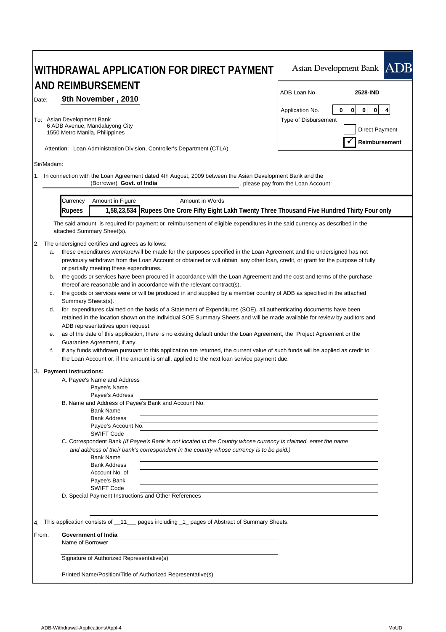|                                  | WITHDRAWAL APPLICATION FOR DIRECT PAYMENT                                                                                                                                                                                                                                                                                                                                                                                                                                                                                                                                                                                                                                                                                                                                                                                                                                                                                                                                                                                                                                                                                                                                                                                                                                                                                                                                                                                                                                                                                                                                                                                                                                                                                                                                                                                                                                                                                                                                                                             | Asian Development Bank ADB                                                                                    |
|----------------------------------|-----------------------------------------------------------------------------------------------------------------------------------------------------------------------------------------------------------------------------------------------------------------------------------------------------------------------------------------------------------------------------------------------------------------------------------------------------------------------------------------------------------------------------------------------------------------------------------------------------------------------------------------------------------------------------------------------------------------------------------------------------------------------------------------------------------------------------------------------------------------------------------------------------------------------------------------------------------------------------------------------------------------------------------------------------------------------------------------------------------------------------------------------------------------------------------------------------------------------------------------------------------------------------------------------------------------------------------------------------------------------------------------------------------------------------------------------------------------------------------------------------------------------------------------------------------------------------------------------------------------------------------------------------------------------------------------------------------------------------------------------------------------------------------------------------------------------------------------------------------------------------------------------------------------------------------------------------------------------------------------------------------------------|---------------------------------------------------------------------------------------------------------------|
|                                  | AND REIMBURSEMENT                                                                                                                                                                                                                                                                                                                                                                                                                                                                                                                                                                                                                                                                                                                                                                                                                                                                                                                                                                                                                                                                                                                                                                                                                                                                                                                                                                                                                                                                                                                                                                                                                                                                                                                                                                                                                                                                                                                                                                                                     | ADB Loan No.<br>2528-IND                                                                                      |
| Date:                            | 9th November, 2010<br>To: Asian Development Bank<br>6 ADB Avenue, Mandaluyong City<br>1550 Metro Manila, Philippines<br>Attention: Loan Administration Division, Controller's Department (CTLA)                                                                                                                                                                                                                                                                                                                                                                                                                                                                                                                                                                                                                                                                                                                                                                                                                                                                                                                                                                                                                                                                                                                                                                                                                                                                                                                                                                                                                                                                                                                                                                                                                                                                                                                                                                                                                       | 0<br>$\mathbf 0$<br>0<br>0<br>4<br>Application No.<br>Type of Disbursement<br>Direct Payment<br>Reimbursement |
| Sir/Madam:                       |                                                                                                                                                                                                                                                                                                                                                                                                                                                                                                                                                                                                                                                                                                                                                                                                                                                                                                                                                                                                                                                                                                                                                                                                                                                                                                                                                                                                                                                                                                                                                                                                                                                                                                                                                                                                                                                                                                                                                                                                                       |                                                                                                               |
|                                  | 1. In connection with the Loan Agreement dated 4th August, 2009 between the Asian Development Bank and the<br>(Borrower) Govt. of India                                                                                                                                                                                                                                                                                                                                                                                                                                                                                                                                                                                                                                                                                                                                                                                                                                                                                                                                                                                                                                                                                                                                                                                                                                                                                                                                                                                                                                                                                                                                                                                                                                                                                                                                                                                                                                                                               | , please pay from the Loan Account:                                                                           |
|                                  | Amount in Figure<br>Amount in Words<br>Currency<br>1,58,23,534 Rupees One Crore Fifty Eight Lakh Twenty Three Thousand Five Hundred Thirty Four only<br><b>Rupees</b>                                                                                                                                                                                                                                                                                                                                                                                                                                                                                                                                                                                                                                                                                                                                                                                                                                                                                                                                                                                                                                                                                                                                                                                                                                                                                                                                                                                                                                                                                                                                                                                                                                                                                                                                                                                                                                                 |                                                                                                               |
|                                  | The said amount is required for payment or reimbursement of eligible expenditures in the said currency as described in the<br>attached Summary Sheet(s).                                                                                                                                                                                                                                                                                                                                                                                                                                                                                                                                                                                                                                                                                                                                                                                                                                                                                                                                                                                                                                                                                                                                                                                                                                                                                                                                                                                                                                                                                                                                                                                                                                                                                                                                                                                                                                                              |                                                                                                               |
| a.<br>b.<br>с.<br>d.<br>е.<br>f. | 2. The undersigned certifies and agrees as follows:<br>these expenditures were/are/will be made for the purposes specified in the Loan Agreement and the undersigned has not<br>previously withdrawn from the Loan Account or obtained or will obtain any other loan, credit, or grant for the purpose of fully<br>or partially meeting these expenditures.<br>the goods or services have been procured in accordance with the Loan Agreement and the cost and terms of the purchase<br>thereof are reasonable and in accordance with the relevant contract(s).<br>the goods or services were or will be produced in and supplied by a member country of ADB as specified in the attached<br>Summary Sheets(s).<br>for expenditures claimed on the basis of a Statement of Expenditures (SOE), all authenticating documents have been<br>retained in the location shown on the individual SOE Summary Sheets and will be made available for review by auditors and<br>ADB representatives upon request.<br>as of the date of this application, there is no existing default under the Loan Agreement, the Project Agreement or the<br>Guarantee Agreement, if any.<br>if any funds withdrawn pursuant to this application are returned, the current value of such funds will be applied as credit to<br>the Loan Account or, if the amount is small, applied to the next loan service payment due.<br>3. Payment Instructions:<br>A. Payee's Name and Address<br>Payee's Name<br>Payee's Address<br>B. Name and Address of Payee's Bank and Account No.<br><b>Bank Name</b><br><b>Bank Address</b><br>Payee's Account No.<br><b>SWIFT Code</b><br>C. Correspondent Bank (If Payee's Bank is not located in the Country whose currency is claimed, enter the name<br>and address of their bank's correspondent in the country whose currency is to be paid.)<br><b>Bank Name</b><br><b>Bank Address</b><br>Account No. of<br>Payee's Bank<br><b>SWIFT Code</b><br>D. Special Payment Instructions and Other References |                                                                                                               |
|                                  | 4. This application consists of _11 __ pages including _1_ pages of Abstract of Summary Sheets.                                                                                                                                                                                                                                                                                                                                                                                                                                                                                                                                                                                                                                                                                                                                                                                                                                                                                                                                                                                                                                                                                                                                                                                                                                                                                                                                                                                                                                                                                                                                                                                                                                                                                                                                                                                                                                                                                                                       |                                                                                                               |
| From:                            | Government of India<br>Name of Borrower                                                                                                                                                                                                                                                                                                                                                                                                                                                                                                                                                                                                                                                                                                                                                                                                                                                                                                                                                                                                                                                                                                                                                                                                                                                                                                                                                                                                                                                                                                                                                                                                                                                                                                                                                                                                                                                                                                                                                                               |                                                                                                               |
|                                  | Signature of Authorized Representative(s)                                                                                                                                                                                                                                                                                                                                                                                                                                                                                                                                                                                                                                                                                                                                                                                                                                                                                                                                                                                                                                                                                                                                                                                                                                                                                                                                                                                                                                                                                                                                                                                                                                                                                                                                                                                                                                                                                                                                                                             |                                                                                                               |
|                                  | Printed Name/Position/Title of Authorized Representative(s)                                                                                                                                                                                                                                                                                                                                                                                                                                                                                                                                                                                                                                                                                                                                                                                                                                                                                                                                                                                                                                                                                                                                                                                                                                                                                                                                                                                                                                                                                                                                                                                                                                                                                                                                                                                                                                                                                                                                                           |                                                                                                               |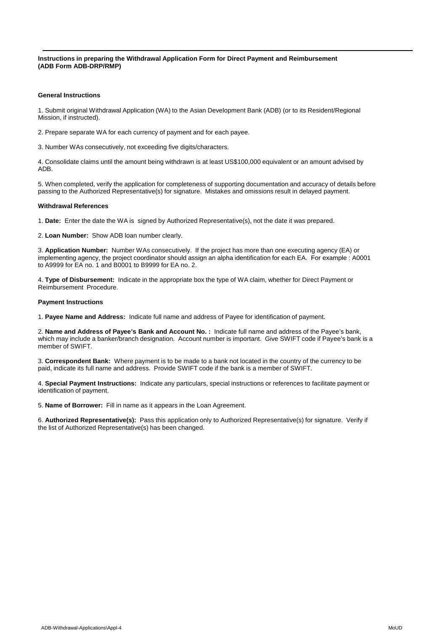**Instructions in preparing the Withdrawal Application Form for Direct Payment and Reimbursement (ADB Form ADB-DRP/RMP)**

### **General Instructions**

1. Submit original Withdrawal Application (WA) to the Asian Development Bank (ADB) (or to its Resident/Regional Mission, if instructed).

2. Prepare separate WA for each currency of payment and for each payee.

3. Number WAs consecutively, not exceeding five digits/characters.

4. Consolidate claims until the amount being withdrawn is at least US\$100,000 equivalent or an amount advised by ADB.

5. When completed, verify the application for completeness of supporting documentation and accuracy of details before passing to the Authorized Representative(s) for signature. Mistakes and omissions result in delayed payment.

#### **Withdrawal References**

1. **Date:** Enter the date the WA is signed by Authorized Representative(s), not the date it was prepared.

2. **Loan Number:** Show ADB loan number clearly.

3. **Application Number:** Number WAs consecutively. If the project has more than one executing agency (EA) or implementing agency, the project coordinator should assign an alpha identification for each EA. For example : A0001 to A9999 for EA no. 1 and B0001 to B9999 for EA no. 2.

4. **Type of Disbursement:** Indicate in the appropriate box the type of WA claim, whether for Direct Payment or Reimbursement Procedure.

#### **Payment Instructions**

1. **Payee Name and Address:** Indicate full name and address of Payee for identification of payment.

2. **Name and Address of Payee's Bank and Account No. :** Indicate full name and address of the Payee's bank, which may include a banker/branch designation. Account number is important. Give SWIFT code if Payee's bank is a member of SWIFT.

3. **Correspondent Bank:** Where payment is to be made to a bank not located in the country of the currency to be paid, indicate its full name and address. Provide SWIFT code if the bank is a member of SWIFT.

4. **Special Payment Instructions:** Indicate any particulars, special instructions or references to facilitate payment or identification of payment.

5. **Name of Borrower:** Fill in name as it appears in the Loan Agreement.

6. **Authorized Representative(s):** Pass this application only to Authorized Representative(s) for signature. Verify if the list of Authorized Representative(s) has been changed.